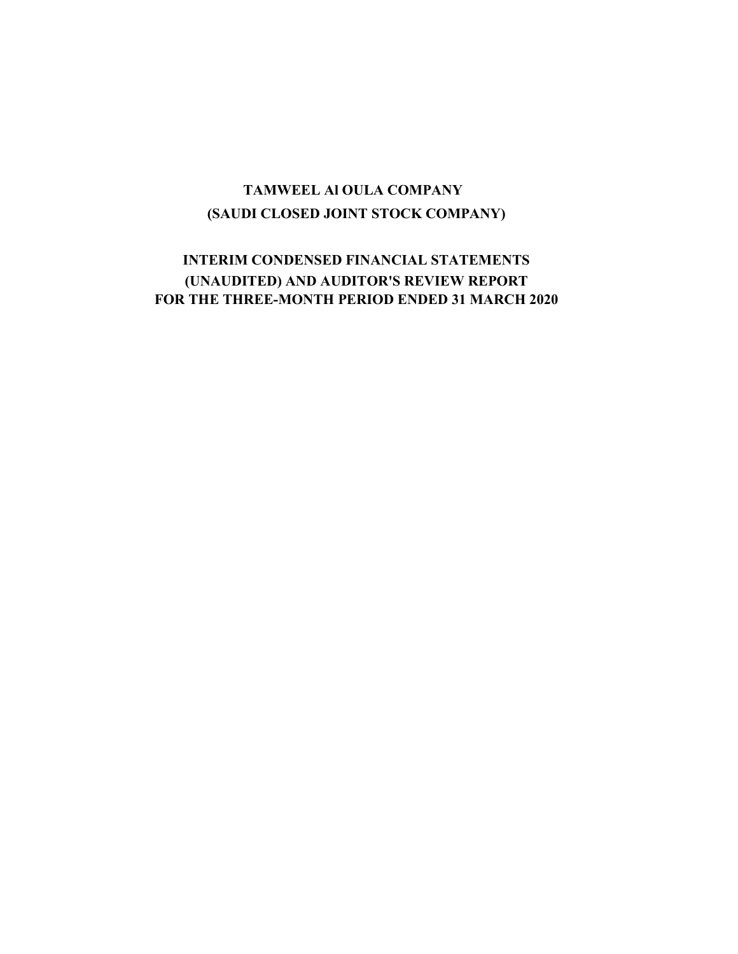## (SAUDI CLOSED JOINT STOCK COMPANY) TAMWEEL Al OULA COMPANY

### INTERIM CONDENSED FINANCIAL STATEMENTS (UNAUDITED) AND AUDITOR'S REVIEW REPORT FOR THE THREE-MONTH PERIOD ENDED 31 MARCH 2020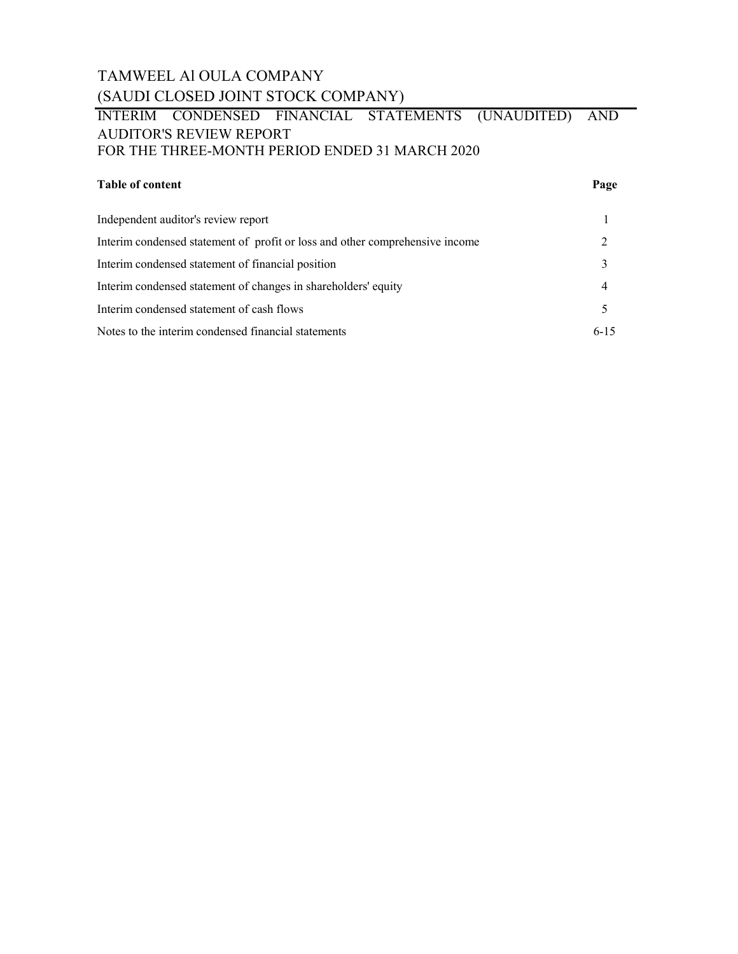### TAMWEEL Al OULA COMPANY (SAUDI CLOSED JOINT STOCK COMPANY)

### INTERIM CONDENSED FINANCIAL STATEMENTS (UNAUDITED) AND AUDITOR'S REVIEW REPORT FOR THE THREE-MONTH PERIOD ENDED 31 MARCH 2020

### Table of content Page

| Independent auditor's review report                                          |          |
|------------------------------------------------------------------------------|----------|
| Interim condensed statement of profit or loss and other comprehensive income |          |
| Interim condensed statement of financial position                            |          |
| Interim condensed statement of changes in shareholders' equity               |          |
| Interim condensed statement of cash flows                                    |          |
| Notes to the interim condensed financial statements                          | $6 - 15$ |
|                                                                              |          |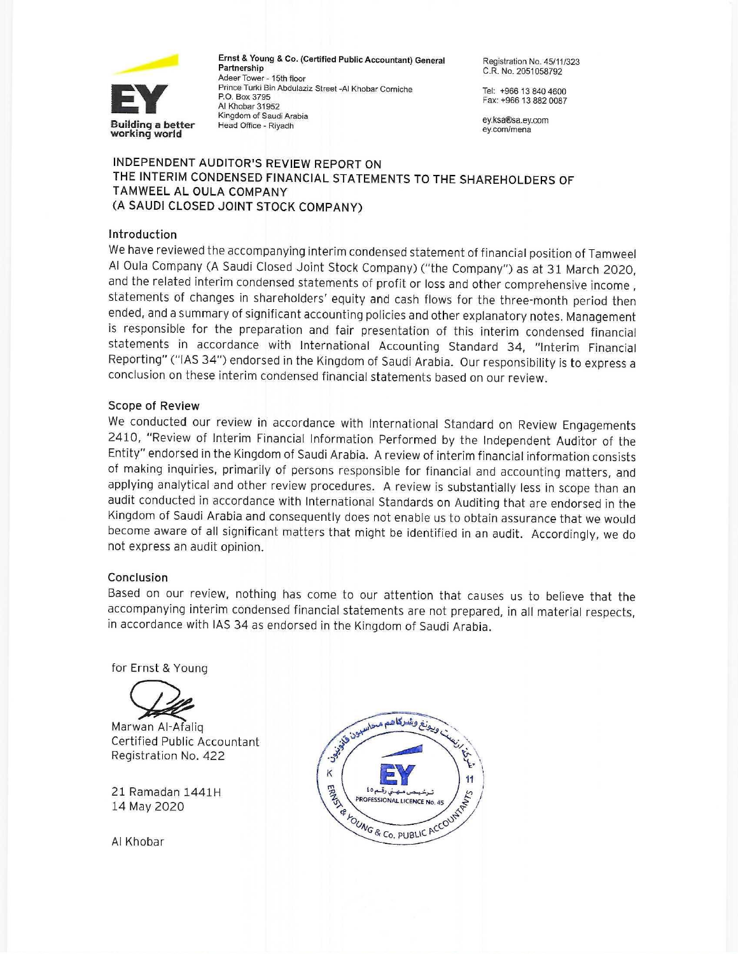

Ernst & Young & Co. (Certified Public Accountant) General Partnership Adeer Tower - 15th floor Prince Turki Bin Abdulaziz Street -Al Khobar Corniche P.O. Box 3795 Al Khobar 31952 Kingdom of Saudi Arabia Head Office - Riyadh

Registration No. 45/11/323 C.R. No. 2051058792

Tel: +966 13 840 4600 Fax: +966 13 882 0087

ey.ksa®sa.ey.com ey.com/mena

### INDEPENDENT AUDITOR'S REVIEW REPORT ON THE INTERIM CONDENSED FINANCIAL STATEMENTS TO THE SHAREHOLDERS OF TAMWEEL AL OULA COMPANY (A SAUDI CLOSED JOINT STOCK COMPANY)

#### Introduction

We have reviewed the accompanying interim condensed statement of financial position of Tamweel Al Oula Company (A Saudi Closed Joint Stock Company) ("the Company") as at 31 March 2020, and the related interim condensed statements of profit or loss and other comprehensive income, statements of changes in shareholders' equity and cash flows for the three-month period then ended, and a summary of significant accounting policies and other explanatory notes. Management is responsible for the preparation and fair presentation of this interim condensed financial statements in accordance with International Accounting Standard 34, "Interim Financial Reporting" ("IAS 34") endorsed in the Kingdom of Saudi Arabia. Our responsibility is to express a conclusion on these interim condensed financial statements based on our review.

#### **Scope of Review**

We conducted our review in accordance with International Standard on Review Engagements 2410, "Review of Interim Financial Information Performed by the Independent Auditor of the Entity" endorsed in the Kingdom of Saudi Arabia. A review of interim financial information consists of making inquiries, primarily of persons responsible for financial and accounting matters, and applying analytical and other review procedures. A review is substantially less in scope than an audit conducted in accordance with International Standards on Auditing that are endorsed in the Kingdom of Saudi Arabia and consequently does not enable us to obtain assurance that we would become aware of all significant matters that might be identified in an audit. Accordingly, we do not express an audit opinion.

#### Conclusion

Based on our review, nothing has come to our attention that causes us to believe that the accompanying interim condensed financial statements are not prepared, in all material respects, in accordance with IAS 34 as endorsed in the Kingdom of Saudi Arabia.

for Ernst & Young



Marwan Al-Afalig Certified Public Accountant Registration No. 422

21 Ramadan 1441H 14 May 2020

Al Khobar

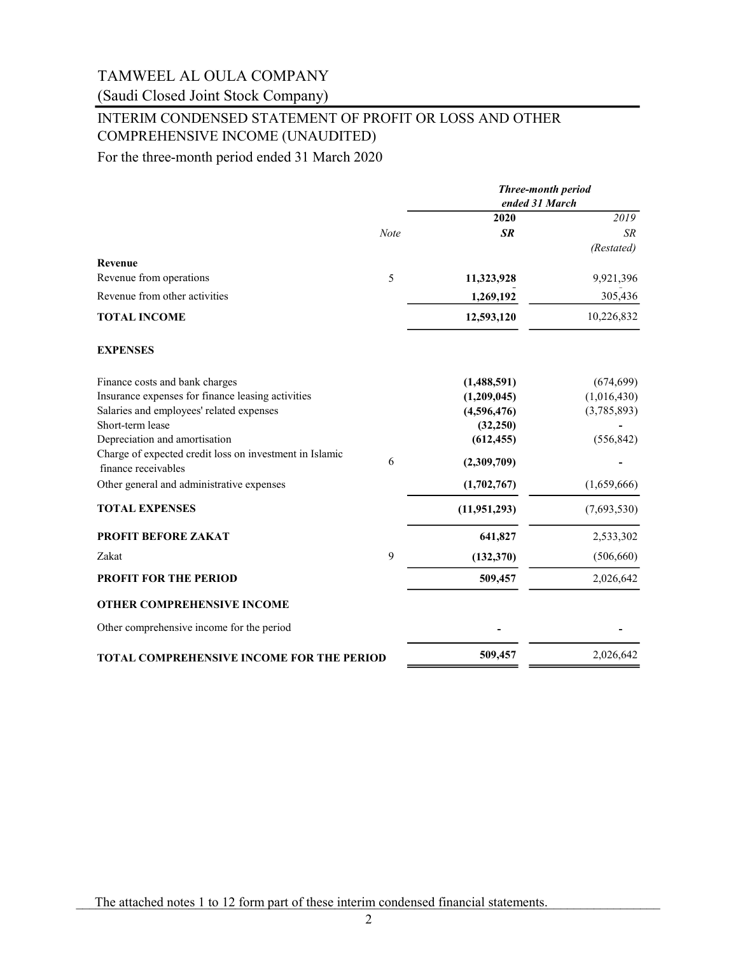(Saudi Closed Joint Stock Company)

### INTERIM CONDENSED STATEMENT OF PROFIT OR LOSS AND OTHER COMPREHENSIVE INCOME (UNAUDITED)

For the three-month period ended 31 March 2020

|                                                                                |             | <b>Three-month period</b><br>ended 31 March |             |
|--------------------------------------------------------------------------------|-------------|---------------------------------------------|-------------|
|                                                                                |             | 2020                                        | 2019        |
|                                                                                | <b>Note</b> | <b>SR</b>                                   | <b>SR</b>   |
|                                                                                |             |                                             | (Restated)  |
| Revenue                                                                        |             |                                             |             |
| Revenue from operations                                                        | 5           | 11,323,928                                  | 9,921,396   |
| Revenue from other activities                                                  |             | 1,269,192                                   | 305,436     |
| <b>TOTAL INCOME</b>                                                            |             | 12,593,120                                  | 10,226,832  |
| <b>EXPENSES</b>                                                                |             |                                             |             |
| Finance costs and bank charges                                                 |             | (1,488,591)                                 | (674, 699)  |
| Insurance expenses for finance leasing activities                              |             | (1,209,045)                                 | (1,016,430) |
| Salaries and employees' related expenses                                       |             | (4,596,476)                                 | (3,785,893) |
| Short-term lease                                                               |             | (32,250)                                    |             |
| Depreciation and amortisation                                                  |             | (612, 455)                                  | (556, 842)  |
| Charge of expected credit loss on investment in Islamic<br>finance receivables | 6           | (2,309,709)                                 |             |
| Other general and administrative expenses                                      |             | (1,702,767)                                 | (1,659,666) |
| <b>TOTAL EXPENSES</b>                                                          |             | (11, 951, 293)                              | (7,693,530) |
| PROFIT BEFORE ZAKAT                                                            |             | 641,827                                     | 2,533,302   |
| Zakat                                                                          | 9           | (132, 370)                                  | (506, 660)  |
| <b>PROFIT FOR THE PERIOD</b>                                                   |             | 509,457                                     | 2,026,642   |
| <b>OTHER COMPREHENSIVE INCOME</b>                                              |             |                                             |             |
| Other comprehensive income for the period                                      |             |                                             |             |
| <b>TOTAL COMPREHENSIVE INCOME FOR THE PERIOD</b>                               |             | 509,457                                     | 2,026,642   |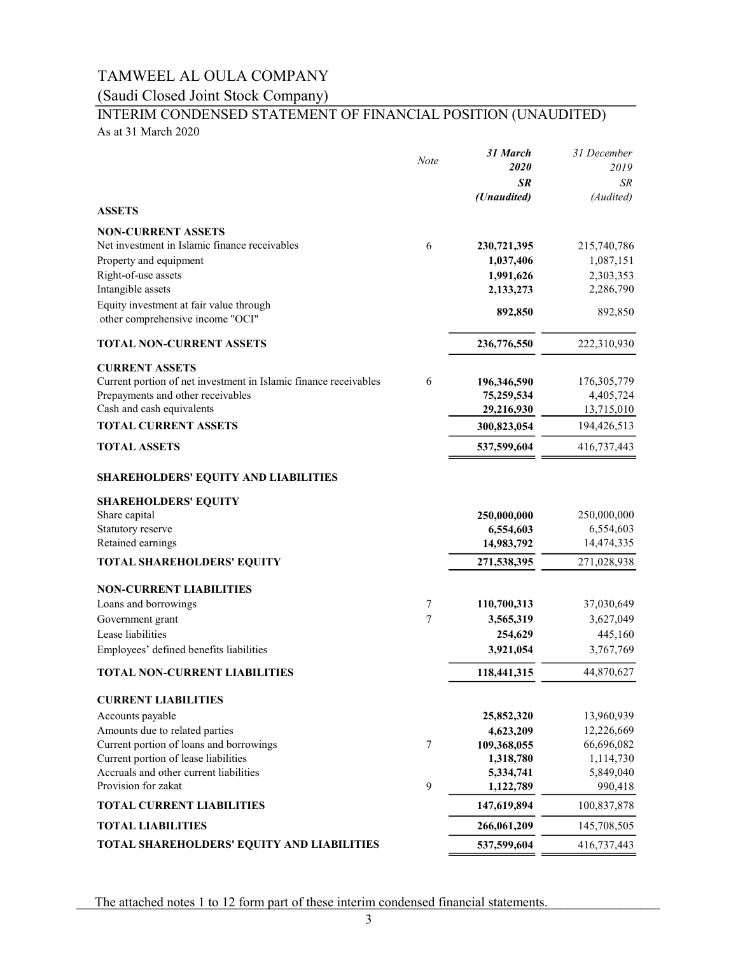## (Saudi Closed Joint Stock Company)

# INTERIM CONDENSED STATEMENT OF FINANCIAL POSITION (UNAUDITED)

As at 31 March 2020

|                                                                  | Note | 31 March                 | 31 December            |
|------------------------------------------------------------------|------|--------------------------|------------------------|
|                                                                  |      | 2020                     | 2019                   |
|                                                                  |      | <b>SR</b>                | SR                     |
| <b>ASSETS</b>                                                    |      | (Unaudited)              | (Audited)              |
| <b>NON-CURRENT ASSETS</b>                                        |      |                          |                        |
| Net investment in Islamic finance receivables                    | 6    | 230,721,395              | 215,740,786            |
| Property and equipment                                           |      | 1,037,406                | 1,087,151              |
| Right-of-use assets                                              |      | 1,991,626                | 2,303,353              |
| Intangible assets                                                |      | 2,133,273                | 2,286,790              |
| Equity investment at fair value through                          |      |                          | 892,850                |
| other comprehensive income "OCI"                                 |      | 892,850                  |                        |
| <b>TOTAL NON-CURRENT ASSETS</b>                                  |      | 236,776,550              | 222,310,930            |
| <b>CURRENT ASSETS</b>                                            |      |                          |                        |
| Current portion of net investment in Islamic finance receivables | 6    | 196,346,590              | 176,305,779            |
| Prepayments and other receivables                                |      | 75,259,534               | 4,405,724              |
| Cash and cash equivalents                                        |      | 29,216,930               | 13,715,010             |
| <b>TOTAL CURRENT ASSETS</b>                                      |      | 300,823,054              | 194,426,513            |
| <b>TOTAL ASSETS</b>                                              |      | 537,599,604              | 416,737,443            |
| <b>SHAREHOLDERS' EQUITY AND LIABILITIES</b>                      |      |                          |                        |
| <b>SHAREHOLDERS' EQUITY</b>                                      |      |                          |                        |
| Share capital                                                    |      | 250,000,000              | 250,000,000            |
| Statutory reserve                                                |      | 6,554,603                | 6,554,603              |
| Retained earnings                                                |      | 14,983,792               | 14,474,335             |
| TOTAL SHAREHOLDERS' EQUITY                                       |      | 271,538,395              | 271,028,938            |
| <b>NON-CURRENT LIABILITIES</b>                                   |      |                          |                        |
| Loans and borrowings                                             | 7    | 110,700,313              | 37,030,649             |
| Government grant                                                 | 7    | 3,565,319                | 3,627,049              |
| Lease liabilities                                                |      | 254,629                  | 445,160                |
| Employees' defined benefits liabilities                          |      | 3,921,054                | 3,767,769              |
| <b>TOTAL NON-CURRENT LIABILITIES</b>                             |      | 118,441,315              | 44,870,627             |
| <b>CURRENT LIABILITIES</b>                                       |      |                          |                        |
| Accounts payable                                                 |      | 25,852,320               | 13,960,939             |
| Amounts due to related parties                                   |      | 4,623,209                | 12,226,669             |
| Current portion of loans and borrowings                          | 7    | 109,368,055              | 66,696,082             |
| Current portion of lease liabilities                             |      | 1,318,780                | 1,114,730              |
| Accruals and other current liabilities<br>Provision for zakat    | 9    | 5,334,741                | 5,849,040              |
| <b>TOTAL CURRENT LIABILITIES</b>                                 |      | 1,122,789<br>147,619,894 | 990,418<br>100,837,878 |
| <b>TOTAL LIABILITIES</b>                                         |      | 266,061,209              | 145,708,505            |
| TOTAL SHAREHOLDERS' EQUITY AND LIABILITIES                       |      | 537,599,604              | 416,737,443            |
|                                                                  |      |                          |                        |

The attached notes 1 to 12 form part of these interim condensed financial statements.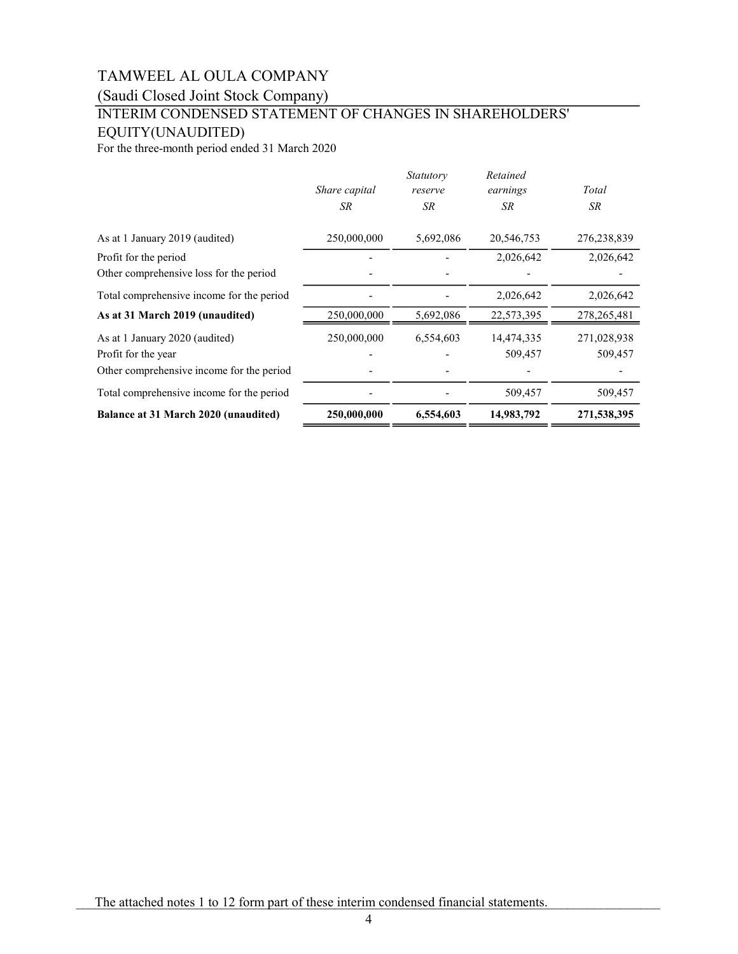(Saudi Closed Joint Stock Company)

### INTERIM CONDENSED STATEMENT OF CHANGES IN SHAREHOLDERS' EQUITY(UNAUDITED)

For the three-month period ended 31 March 2020

| Balance at 31 March 2020 (unaudited)      | 250,000,000   | 6,554,603            | 14,983,792           | 271,538,395 |
|-------------------------------------------|---------------|----------------------|----------------------|-------------|
| Total comprehensive income for the period |               |                      | 509,457              | 509,457     |
| Other comprehensive income for the period |               |                      |                      |             |
| Profit for the year                       |               |                      | 509,457              | 509,457     |
| As at 1 January 2020 (audited)            | 250,000,000   | 6,554,603            | 14,474,335           | 271,028,938 |
| As at 31 March 2019 (unaudited)           | 250,000,000   | 5,692,086            | 22,573,395           | 278,265,481 |
| Total comprehensive income for the period |               |                      | 2,026,642            | 2,026,642   |
| Other comprehensive loss for the period   |               |                      |                      |             |
| Profit for the period                     |               |                      | 2,026,642            | 2,026,642   |
| As at 1 January 2019 (audited)            | 250,000,000   | 5,692,086            | 20,546,753           | 276,238,839 |
|                                           | SR.           | SR                   | SR                   | SR          |
|                                           | Share capital | Statutory<br>reserve | Retained<br>earnings | Total       |

The attached notes 1 to 12 form part of these interim condensed financial statements.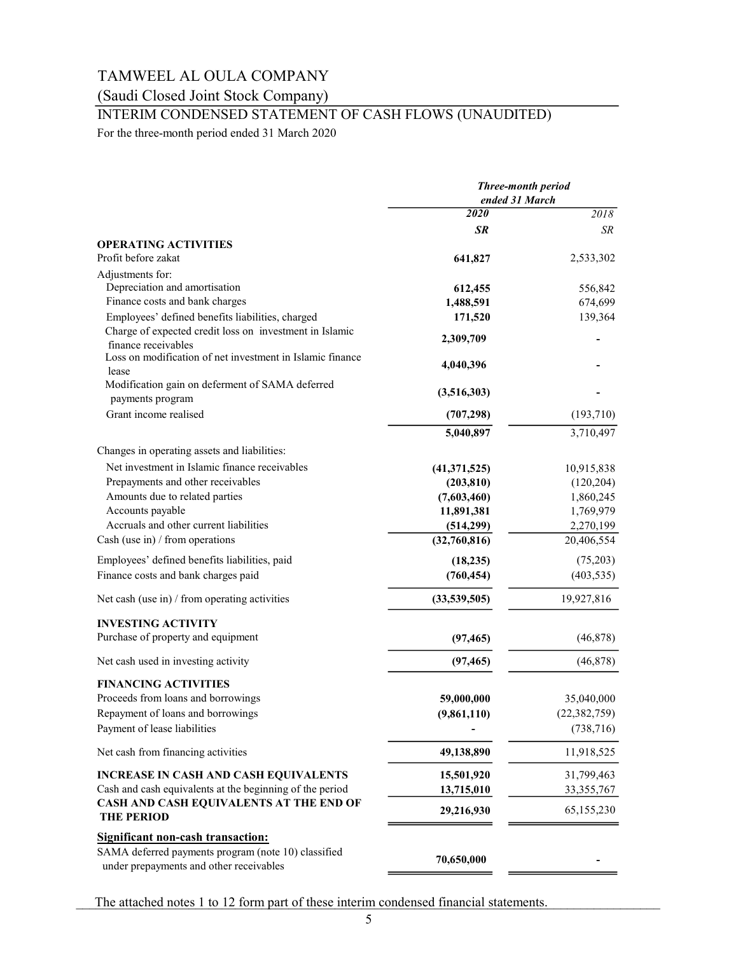### (Saudi Closed Joint Stock Company)

### INTERIM CONDENSED STATEMENT OF CASH FLOWS (UNAUDITED)

For the three-month period ended 31 March 2020

|                                                                                                | <b>Three-month period</b><br>ended 31 March |                |
|------------------------------------------------------------------------------------------------|---------------------------------------------|----------------|
|                                                                                                | 2020                                        | 2018           |
|                                                                                                | <b>SR</b>                                   | SR             |
| <b>OPERATING ACTIVITIES</b>                                                                    |                                             |                |
| Profit before zakat                                                                            | 641,827                                     | 2,533,302      |
| Adjustments for:                                                                               |                                             |                |
| Depreciation and amortisation                                                                  | 612,455                                     | 556,842        |
| Finance costs and bank charges                                                                 | 1,488,591                                   | 674,699        |
| Employees' defined benefits liabilities, charged                                               | 171,520                                     | 139,364        |
| Charge of expected credit loss on investment in Islamic<br>finance receivables                 | 2,309,709                                   |                |
| Loss on modification of net investment in Islamic finance<br>lease                             | 4,040,396                                   |                |
| Modification gain on deferment of SAMA deferred<br>payments program                            | (3,516,303)                                 |                |
| Grant income realised                                                                          | (707, 298)                                  | (193,710)      |
|                                                                                                | 5,040,897                                   | 3,710,497      |
| Changes in operating assets and liabilities:                                                   |                                             |                |
| Net investment in Islamic finance receivables                                                  | (41,371,525)                                | 10,915,838     |
| Prepayments and other receivables                                                              | (203, 810)                                  | (120, 204)     |
| Amounts due to related parties                                                                 | (7,603,460)                                 | 1,860,245      |
| Accounts payable                                                                               | 11,891,381                                  | 1,769,979      |
| Accruals and other current liabilities                                                         | (514, 299)                                  | 2,270,199      |
| Cash (use in) $/$ from operations                                                              | (32,760,816)                                | 20,406,554     |
| Employees' defined benefits liabilities, paid                                                  | (18, 235)                                   | (75,203)       |
| Finance costs and bank charges paid                                                            | (760, 454)                                  | (403, 535)     |
|                                                                                                |                                             |                |
| Net cash (use in) $/$ from operating activities                                                | (33,539,505)                                | 19,927,816     |
| <b>INVESTING ACTIVITY</b>                                                                      |                                             |                |
| Purchase of property and equipment                                                             | (97, 465)                                   | (46,878)       |
| Net cash used in investing activity                                                            | (97, 465)                                   | (46, 878)      |
| <b>FINANCING ACTIVITIES</b>                                                                    |                                             |                |
| Proceeds from loans and borrowings                                                             | 59,000,000                                  | 35,040,000     |
| Repayment of loans and borrowings                                                              | (9,861,110)                                 | (22, 382, 759) |
| Payment of lease liabilities                                                                   |                                             | (738, 716)     |
| Net cash from financing activities                                                             | 49,138,890                                  | 11,918,525     |
| <b>INCREASE IN CASH AND CASH EQUIVALENTS</b>                                                   | 15,501,920                                  | 31,799,463     |
| Cash and cash equivalents at the beginning of the period                                       | 13,715,010                                  | 33, 355, 767   |
| CASH AND CASH EQUIVALENTS AT THE END OF<br><b>THE PERIOD</b>                                   | 29,216,930                                  | 65,155,230     |
| <b>Significant non-cash transaction:</b>                                                       |                                             |                |
| SAMA deferred payments program (note 10) classified<br>under prepayments and other receivables | 70,650,000                                  |                |

The attached notes 1 to 12 form part of these interim condensed financial statements.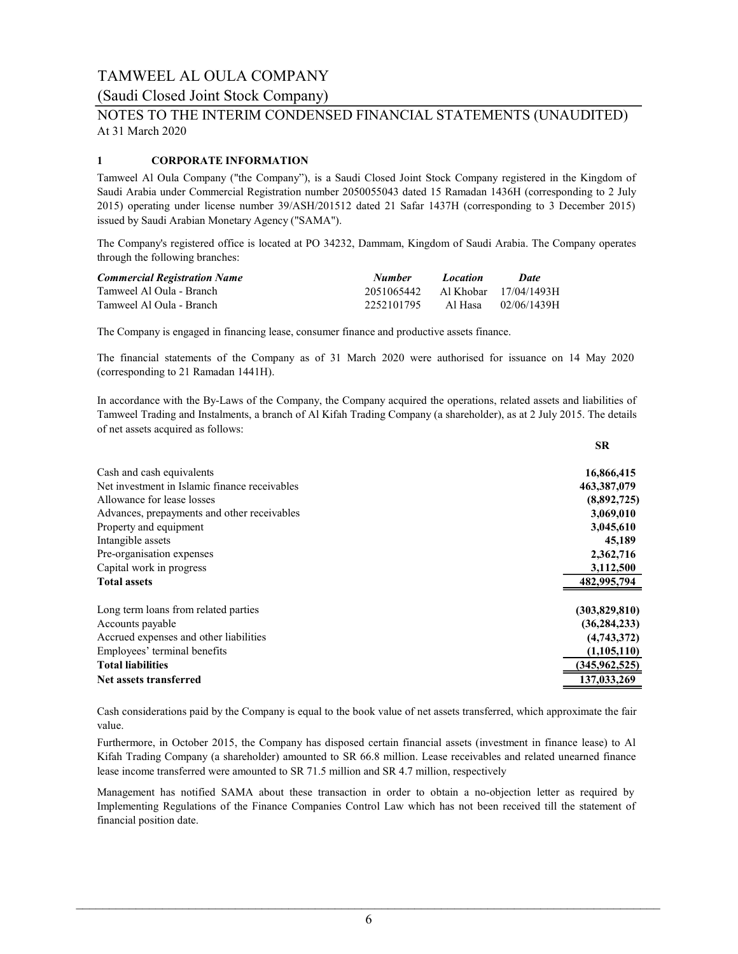### (Saudi Closed Joint Stock Company)

### At 31 March 2020 NOTES TO THE INTERIM CONDENSED FINANCIAL STATEMENTS (UNAUDITED)

### 1 CORPORATE INFORMATION

Tamweel Al Oula Company ("the Company"), is a Saudi Closed Joint Stock Company registered in the Kingdom of Saudi Arabia under Commercial Registration number 2050055043 dated 15 Ramadan 1436H (corresponding to 2 July 2015) operating under license number 39/ASH/201512 dated 21 Safar 1437H (corresponding to 3 December 2015) issued by Saudi Arabian Monetary Agency ("SAMA").

The Company's registered office is located at PO 34232, Dammam, Kingdom of Saudi Arabia. The Company operates through the following branches:

| <b>Commercial Registration Name</b> | <b>Number</b>                    | <b>Location</b> | Date        |
|-------------------------------------|----------------------------------|-----------------|-------------|
| Tamweel Al Oula - Branch            | 2051065442 Al Khobar 17/04/1493H |                 |             |
| Tamweel Al Oula - Branch            | 2252101795                       | Al Hasa         | 02/06/1439H |

The Company is engaged in financing lease, consumer finance and productive assets finance.

The financial statements of the Company as of 31 March 2020 were authorised for issuance on 14 May 2020 (corresponding to 21 Ramadan 1441H).

In accordance with the By-Laws of the Company, the Company acquired the operations, related assets and liabilities of Tamweel Trading and Instalments, a branch of Al Kifah Trading Company (a shareholder), as at 2 July 2015. The details of net assets acquired as follows:

|                                               | <b>SR</b>       |
|-----------------------------------------------|-----------------|
| Cash and cash equivalents                     | 16,866,415      |
| Net investment in Islamic finance receivables | 463,387,079     |
| Allowance for lease losses                    | (8,892,725)     |
| Advances, prepayments and other receivables   | 3,069,010       |
| Property and equipment                        | 3,045,610       |
| Intangible assets                             | 45,189          |
| Pre-organisation expenses                     | 2,362,716       |
| Capital work in progress                      | 3,112,500       |
| <b>Total assets</b>                           | 482,995,794     |
| Long term loans from related parties          | (303,829,810)   |
| Accounts payable                              | (36, 284, 233)  |
| Accrued expenses and other liabilities        | (4,743,372)     |
| Employees' terminal benefits                  | (1,105,110)     |
| <b>Total liabilities</b>                      | (345, 962, 525) |
| Net assets transferred                        | 137,033,269     |

Cash considerations paid by the Company is equal to the book value of net assets transferred, which approximate the fair value.

Furthermore, in October 2015, the Company has disposed certain financial assets (investment in finance lease) to Al Kifah Trading Company (a shareholder) amounted to SR 66.8 million. Lease receivables and related unearned finance lease income transferred were amounted to SR 71.5 million and SR 4.7 million, respectively

Management has notified SAMA about these transaction in order to obtain a no-objection letter as required by Implementing Regulations of the Finance Companies Control Law which has not been received till the statement of financial position date.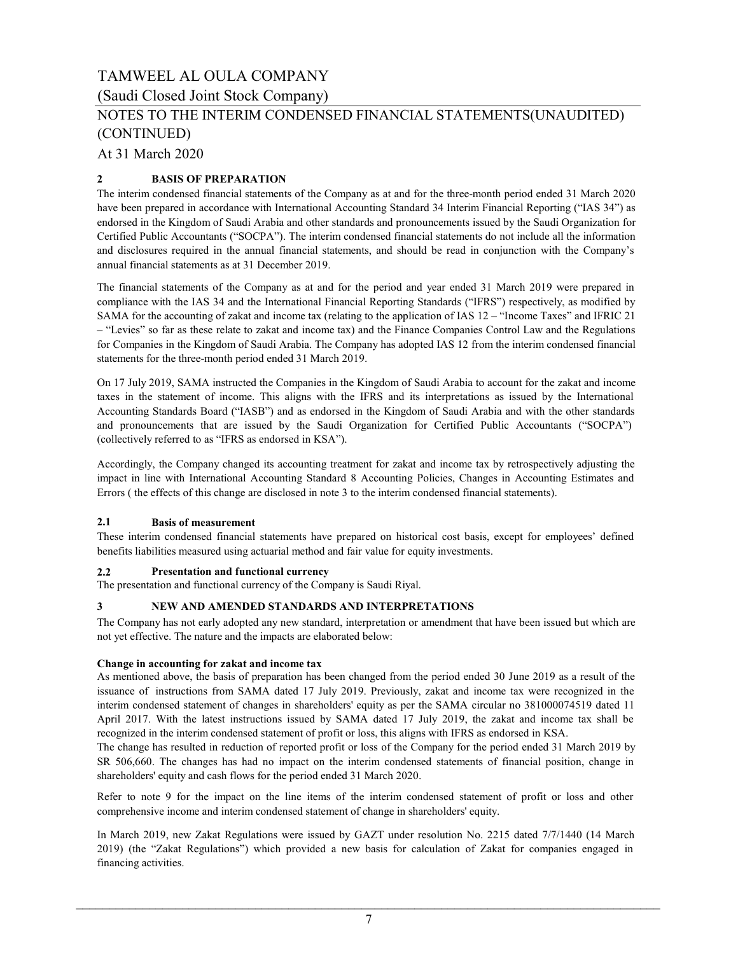(Saudi Closed Joint Stock Company)

### NOTES TO THE INTERIM CONDENSED FINANCIAL STATEMENTS(UNAUDITED) (CONTINUED)

At 31 March 2020

### 2 BASIS OF PREPARATION

The interim condensed financial statements of the Company as at and for the three-month period ended 31 March 2020 have been prepared in accordance with International Accounting Standard 34 Interim Financial Reporting ("IAS 34") as endorsed in the Kingdom of Saudi Arabia and other standards and pronouncements issued by the Saudi Organization for Certified Public Accountants ("SOCPA"). The interim condensed financial statements do not include all the information and disclosures required in the annual financial statements, and should be read in conjunction with the Company's annual financial statements as at 31 December 2019.

The financial statements of the Company as at and for the period and year ended 31 March 2019 were prepared in compliance with the IAS 34 and the International Financial Reporting Standards ("IFRS") respectively, as modified by SAMA for the accounting of zakat and income tax (relating to the application of IAS 12 – "Income Taxes" and IFRIC 21 – "Levies" so far as these relate to zakat and income tax) and the Finance Companies Control Law and the Regulations for Companies in the Kingdom of Saudi Arabia. The Company has adopted IAS 12 from the interim condensed financial statements for the three-month period ended 31 March 2019.

On 17 July 2019, SAMA instructed the Companies in the Kingdom of Saudi Arabia to account for the zakat and income taxes in the statement of income. This aligns with the IFRS and its interpretations as issued by the International Accounting Standards Board ("IASB") and as endorsed in the Kingdom of Saudi Arabia and with the other standards and pronouncements that are issued by the Saudi Organization for Certified Public Accountants ("SOCPA") (collectively referred to as "IFRS as endorsed in KSA").

Accordingly, the Company changed its accounting treatment for zakat and income tax by retrospectively adjusting the impact in line with International Accounting Standard 8 Accounting Policies, Changes in Accounting Estimates and Errors ( the effects of this change are disclosed in note 3 to the interim condensed financial statements).

#### 2.1 Basis of measurement

These interim condensed financial statements have prepared on historical cost basis, except for employees' defined benefits liabilities measured using actuarial method and fair value for equity investments.

#### 2.2 Presentation and functional currency

The presentation and functional currency of the Company is Saudi Riyal.

#### 3 NEW AND AMENDED STANDARDS AND INTERPRETATIONS

The Company has not early adopted any new standard, interpretation or amendment that have been issued but which are not yet effective. The nature and the impacts are elaborated below:

#### Change in accounting for zakat and income tax

As mentioned above, the basis of preparation has been changed from the period ended 30 June 2019 as a result of the issuance of instructions from SAMA dated 17 July 2019. Previously, zakat and income tax were recognized in the interim condensed statement of changes in shareholders' equity as per the SAMA circular no 381000074519 dated 11 April 2017. With the latest instructions issued by SAMA dated 17 July 2019, the zakat and income tax shall be recognized in the interim condensed statement of profit or loss, this aligns with IFRS as endorsed in KSA.

The change has resulted in reduction of reported profit or loss of the Company for the period ended 31 March 2019 by SR 506,660. The changes has had no impact on the interim condensed statements of financial position, change in shareholders' equity and cash flows for the period ended 31 March 2020.

Refer to note 9 for the impact on the line items of the interim condensed statement of profit or loss and other comprehensive income and interim condensed statement of change in shareholders' equity.

In March 2019, new Zakat Regulations were issued by GAZT under resolution No. 2215 dated 7/7/1440 (14 March 2019) (the "Zakat Regulations") which provided a new basis for calculation of Zakat for companies engaged in financing activities.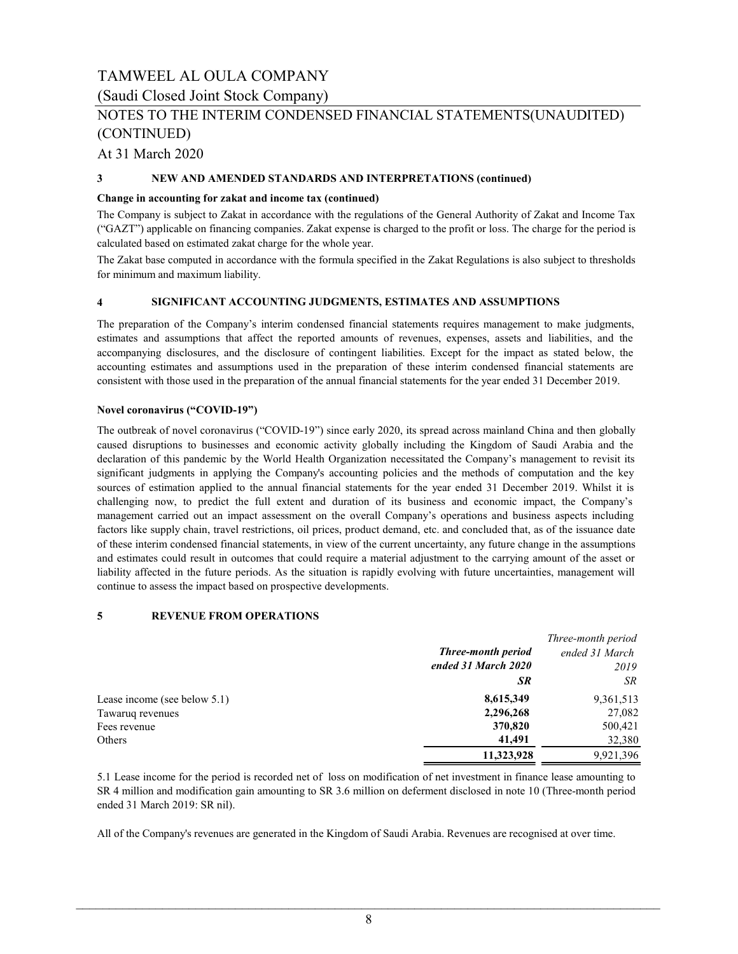(Saudi Closed Joint Stock Company)

### NOTES TO THE INTERIM CONDENSED FINANCIAL STATEMENTS(UNAUDITED) (CONTINUED)

At 31 March 2020

#### 3 NEW AND AMENDED STANDARDS AND INTERPRETATIONS (continued)

#### Change in accounting for zakat and income tax (continued)

The Company is subject to Zakat in accordance with the regulations of the General Authority of Zakat and Income Tax ("GAZT") applicable on financing companies. Zakat expense is charged to the profit or loss. The charge for the period is calculated based on estimated zakat charge for the whole year.

The Zakat base computed in accordance with the formula specified in the Zakat Regulations is also subject to thresholds for minimum and maximum liability.

#### 4 SIGNIFICANT ACCOUNTING JUDGMENTS, ESTIMATES AND ASSUMPTIONS

The preparation of the Company's interim condensed financial statements requires management to make judgments, estimates and assumptions that affect the reported amounts of revenues, expenses, assets and liabilities, and the accompanying disclosures, and the disclosure of contingent liabilities. Except for the impact as stated below, the accounting estimates and assumptions used in the preparation of these interim condensed financial statements are consistent with those used in the preparation of the annual financial statements for the year ended 31 December 2019.

#### Novel coronavirus ("COVID-19")

The outbreak of novel coronavirus ("COVID-19") since early 2020, its spread across mainland China and then globally caused disruptions to businesses and economic activity globally including the Kingdom of Saudi Arabia and the declaration of this pandemic by the World Health Organization necessitated the Company's management to revisit its significant judgments in applying the Company's accounting policies and the methods of computation and the key sources of estimation applied to the annual financial statements for the year ended 31 December 2019. Whilst it is challenging now, to predict the full extent and duration of its business and economic impact, the Company's management carried out an impact assessment on the overall Company's operations and business aspects including factors like supply chain, travel restrictions, oil prices, product demand, etc. and concluded that, as of the issuance date of these interim condensed financial statements, in view of the current uncertainty, any future change in the assumptions and estimates could result in outcomes that could require a material adjustment to the carrying amount of the asset or liability affected in the future periods. As the situation is rapidly evolving with future uncertainties, management will continue to assess the impact based on prospective developments.

#### 5 REVENUE FROM OPERATIONS

|                                 |                           | Three-month period |
|---------------------------------|---------------------------|--------------------|
|                                 | <b>Three-month period</b> | ended 31 March     |
|                                 | ended 31 March 2020       | 2019               |
|                                 | <b>SR</b>                 | SR                 |
| Lease income (see below $5.1$ ) | 8,615,349                 | 9,361,513          |
| Tawaruq revenues                | 2,296,268                 | 27,082             |
| Fees revenue                    | 370,820                   | 500,421            |
| Others                          | 41,491                    | 32,380             |
|                                 | 11.323.928                | 9.921.396          |

5.1 Lease income for the period is recorded net of loss on modification of net investment in finance lease amounting to SR 4 million and modification gain amounting to SR 3.6 million on deferment disclosed in note 10 (Three-month period ended 31 March 2019: SR nil).

All of the Company's revenues are generated in the Kingdom of Saudi Arabia. Revenues are recognised at over time.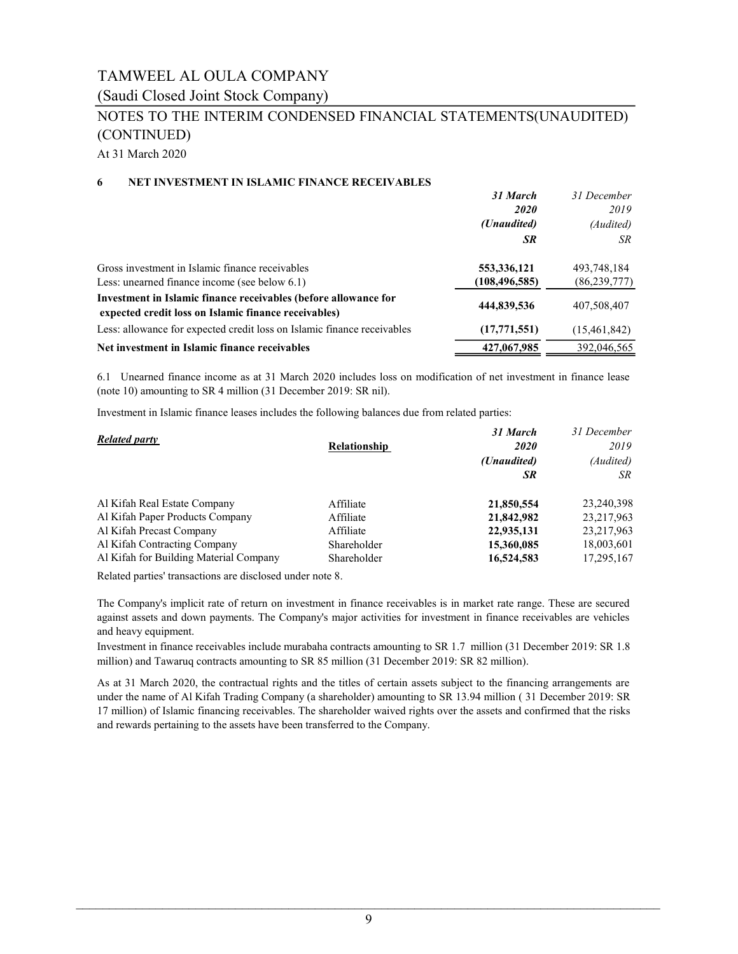(Saudi Closed Joint Stock Company)

## NOTES TO THE INTERIM CONDENSED FINANCIAL STATEMENTS(UNAUDITED) (CONTINUED)

At 31 March 2020

#### 6 NET INVESTMENT IN ISLAMIC FINANCE RECEIVABLES

|                                                                                                                         | 31 March        | 31 December    |
|-------------------------------------------------------------------------------------------------------------------------|-----------------|----------------|
|                                                                                                                         | <b>2020</b>     | 2019           |
|                                                                                                                         | (Unaudited)     | (Audited)      |
|                                                                                                                         | <b>SR</b>       | SR             |
| Gross investment in Islamic finance receivables                                                                         | 553,336,121     | 493,748,184    |
| Less: unearned finance income (see below 6.1)                                                                           | (108, 496, 585) | (86, 239, 777) |
| Investment in Islamic finance receivables (before allowance for<br>expected credit loss on Islamic finance receivables) | 444,839,536     | 407,508,407    |
| Less: allowance for expected credit loss on Islamic finance receivables                                                 | (17,771,551)    | (15,461,842)   |
| Net investment in Islamic finance receivables                                                                           | 427,067,985     | 392,046,565    |

6.1 Unearned finance income as at 31 March 2020 includes loss on modification of net investment in finance lease (note 10) amounting to SR 4 million (31 December 2019: SR nil).

Investment in Islamic finance leases includes the following balances due from related parties:

|                                        |                     | 31 March    | 31 December  |  |
|----------------------------------------|---------------------|-------------|--------------|--|
| <b>Related party</b>                   | <b>Relationship</b> | <i>2020</i> | 2019         |  |
|                                        |                     | (Unaudited) | (Audited)    |  |
|                                        |                     | SR          | SR           |  |
| Al Kifah Real Estate Company           | Affiliate           | 21,850,554  | 23,240,398   |  |
| Al Kifah Paper Products Company        | Affiliate           | 21,842,982  | 23, 217, 963 |  |
| Al Kifah Precast Company               | Affiliate           | 22,935,131  | 23, 217, 963 |  |
| Al Kifah Contracting Company           | Shareholder         | 15,360,085  | 18,003,601   |  |
| Al Kifah for Building Material Company | Shareholder         | 16,524,583  | 17,295,167   |  |

Related parties' transactions are disclosed under note 8.

The Company's implicit rate of return on investment in finance receivables is in market rate range. These are secured against assets and down payments. The Company's major activities for investment in finance receivables are vehicles and heavy equipment.

Investment in finance receivables include murabaha contracts amounting to SR 1.7 million (31 December 2019: SR 1.8 million) and Tawaruq contracts amounting to SR 85 million (31 December 2019: SR 82 million).

As at 31 March 2020, the contractual rights and the titles of certain assets subject to the financing arrangements are under the name of Al Kifah Trading Company (a shareholder) amounting to SR 13.94 million ( 31 December 2019: SR 17 million) of Islamic financing receivables. The shareholder waived rights over the assets and confirmed that the risks and rewards pertaining to the assets have been transferred to the Company.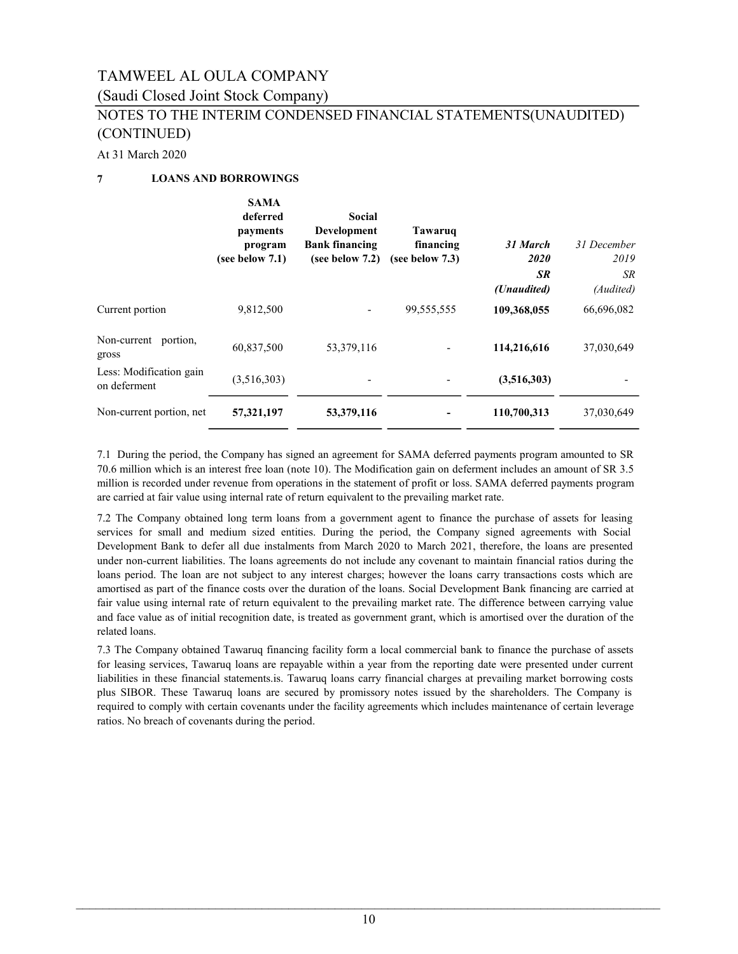### (Saudi Closed Joint Stock Company)

### NOTES TO THE INTERIM CONDENSED FINANCIAL STATEMENTS(UNAUDITED) (CONTINUED)

#### At 31 March 2020

### 7 LOANS AND BORROWINGS

|                                         | <b>SAMA</b><br>deferred<br>payments<br>program<br>(see below $7.1$ ) | Social<br><b>Development</b><br><b>Bank financing</b><br>(see below $7.2$ ) | Tawaruq<br>financing<br>(see below $7.3$ ) | 31 March<br>2020<br><b>SR</b><br>(Unaudited) | 31 December<br>2019<br>SR.<br>(Audited) |
|-----------------------------------------|----------------------------------------------------------------------|-----------------------------------------------------------------------------|--------------------------------------------|----------------------------------------------|-----------------------------------------|
| Current portion                         | 9,812,500                                                            |                                                                             | 99,555,555                                 | 109,368,055                                  | 66,696,082                              |
| Non-current portion,<br>gross           | 60,837,500                                                           | 53, 379, 116                                                                |                                            | 114,216,616                                  | 37,030,649                              |
| Less: Modification gain<br>on deferment | (3,516,303)                                                          |                                                                             | -                                          | (3,516,303)                                  |                                         |
| Non-current portion, net                | 57,321,197                                                           | 53,379,116                                                                  |                                            | 110,700,313                                  | 37,030,649                              |

7.1 During the period, the Company has signed an agreement for SAMA deferred payments program amounted to SR 70.6 million which is an interest free loan (note 10). The Modification gain on deferment includes an amount of SR 3.5 million is recorded under revenue from operations in the statement of profit or loss. SAMA deferred payments program are carried at fair value using internal rate of return equivalent to the prevailing market rate.

7.2 The Company obtained long term loans from a government agent to finance the purchase of assets for leasing services for small and medium sized entities. During the period, the Company signed agreements with Social Development Bank to defer all due instalments from March 2020 to March 2021, therefore, the loans are presented under non-current liabilities. The loans agreements do not include any covenant to maintain financial ratios during the loans period. The loan are not subject to any interest charges; however the loans carry transactions costs which are amortised as part of the finance costs over the duration of the loans. Social Development Bank financing are carried at fair value using internal rate of return equivalent to the prevailing market rate. The difference between carrying value and face value as of initial recognition date, is treated as government grant, which is amortised over the duration of the related loans.

7.3 The Company obtained Tawaruq financing facility form a local commercial bank to finance the purchase of assets for leasing services, Tawaruq loans are repayable within a year from the reporting date were presented under current liabilities in these financial statements.is. Tawaruq loans carry financial charges at prevailing market borrowing costs plus SIBOR. These Tawaruq loans are secured by promissory notes issued by the shareholders. The Company is required to comply with certain covenants under the facility agreements which includes maintenance of certain leverage ratios. No breach of covenants during the period.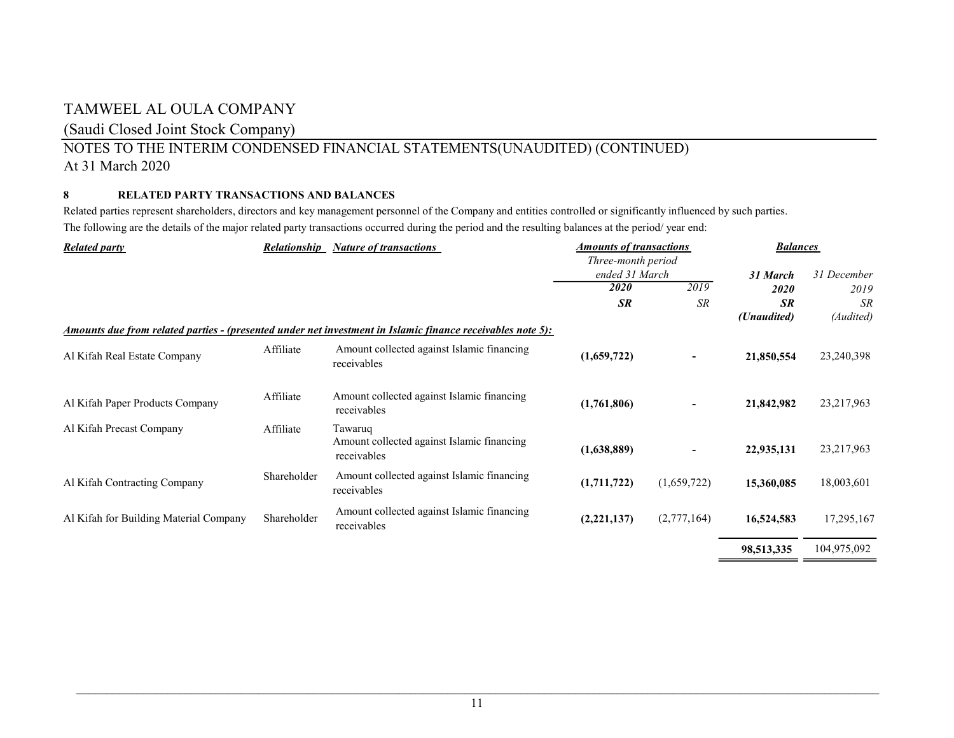### (Saudi Closed Joint Stock Company)

### NOTES TO THE INTERIM CONDENSED FINANCIAL STATEMENTS(UNAUDITED) (CONTINUED) At 31 March 2020

### 8 RELATED PARTY TRANSACTIONS AND BALANCES

Related parties represent shareholders, directors and key management personnel of the Company and entities controlled or significantly influenced by such parties. The following are the details of the major related party transactions occurred during the period and the resulting balances at the period/ year end:

| <b>Related party</b><br><b>Relationship</b><br><b>Nature of transactions</b> |             |                                                                                                                   | <b>Amounts of transactions</b> |             | <b>Balances</b> |              |
|------------------------------------------------------------------------------|-------------|-------------------------------------------------------------------------------------------------------------------|--------------------------------|-------------|-----------------|--------------|
|                                                                              |             |                                                                                                                   | Three-month period             |             |                 |              |
|                                                                              |             |                                                                                                                   | ended 31 March                 |             | 31 March        | 31 December  |
|                                                                              |             |                                                                                                                   | <i>2020</i>                    | 2019        | 2020            | 2019         |
|                                                                              |             |                                                                                                                   | <b>SR</b>                      | SR          | <b>SR</b>       | <b>SR</b>    |
|                                                                              |             |                                                                                                                   |                                |             | (Unaudited)     | (Audited)    |
|                                                                              |             | <u>Amounts due from related parties - (presented under net investment in Islamic finance receivables note 5):</u> |                                |             |                 |              |
| Al Kifah Real Estate Company                                                 | Affiliate   | Amount collected against Islamic financing<br>receivables                                                         | (1,659,722)                    |             | 21,850,554      | 23,240,398   |
| Al Kifah Paper Products Company                                              | Affiliate   | Amount collected against Islamic financing<br>receivables                                                         | (1,761,806)                    | Ξ.          | 21,842,982      | 23, 217, 963 |
| Al Kifah Precast Company                                                     | Affiliate   | Tawaruq<br>Amount collected against Islamic financing<br>receivables                                              | (1,638,889)                    |             | 22,935,131      | 23,217,963   |
| Al Kifah Contracting Company                                                 | Shareholder | Amount collected against Islamic financing<br>receivables                                                         | (1,711,722)                    | (1,659,722) | 15,360,085      | 18,003,601   |
| Al Kifah for Building Material Company                                       | Shareholder | Amount collected against Islamic financing<br>receivables                                                         | (2,221,137)                    | (2,777,164) | 16,524,583      | 17,295,167   |
|                                                                              |             |                                                                                                                   |                                |             | 98,513,335      | 104,975,092  |

\_\_\_\_\_\_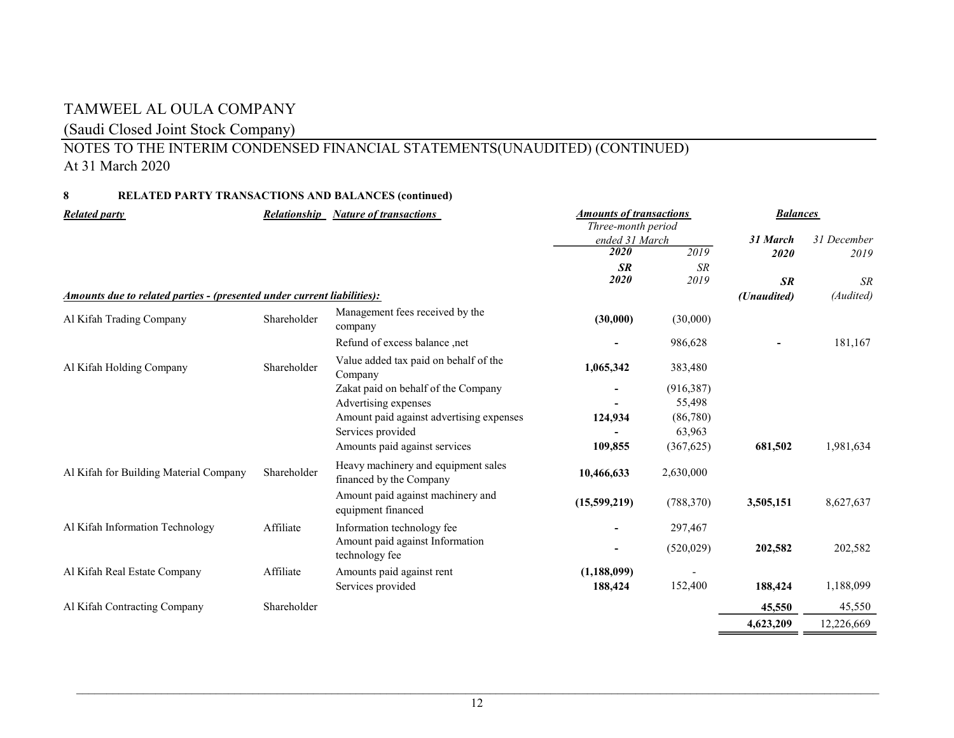### (Saudi Closed Joint Stock Company)

## NOTES TO THE INTERIM CONDENSED FINANCIAL STATEMENTS(UNAUDITED) (CONTINUED) At 31 March 2020

### 8 RELATED PARTY TRANSACTIONS AND BALANCES (continued)

| <b>Related party</b>                                                    | <b>Relationship</b> | <b>Nature of transactions</b>                                  | <b>Amounts of transactions</b><br>Three-month period |            | <b>Balances</b> |             |
|-------------------------------------------------------------------------|---------------------|----------------------------------------------------------------|------------------------------------------------------|------------|-----------------|-------------|
|                                                                         |                     |                                                                | ended 31 March                                       |            | 31 March        | 31 December |
|                                                                         |                     |                                                                | $\overline{2020}$                                    | 2019       | 2020            | 2019        |
|                                                                         |                     |                                                                | <b>SR</b>                                            | <b>SR</b>  |                 |             |
|                                                                         |                     |                                                                | 2020                                                 | 2019       | <b>SR</b>       | <b>SR</b>   |
| Amounts due to related parties - (presented under current liabilities): |                     |                                                                |                                                      |            | (Unaudited)     | (Audited)   |
| Al Kifah Trading Company                                                | Shareholder         | Management fees received by the<br>company                     | (30,000)                                             | (30,000)   |                 |             |
|                                                                         |                     | Refund of excess balance, net                                  |                                                      | 986,628    |                 | 181,167     |
| Al Kifah Holding Company                                                | Shareholder         | Value added tax paid on behalf of the<br>Company               | 1,065,342                                            | 383,480    |                 |             |
|                                                                         |                     | Zakat paid on behalf of the Company                            |                                                      | (916, 387) |                 |             |
|                                                                         |                     | Advertising expenses                                           |                                                      | 55,498     |                 |             |
|                                                                         |                     | Amount paid against advertising expenses                       | 124,934                                              | (86,780)   |                 |             |
|                                                                         |                     | Services provided                                              |                                                      | 63,963     |                 |             |
|                                                                         |                     | Amounts paid against services                                  | 109,855                                              | (367, 625) | 681,502         | 1,981,634   |
| Al Kifah for Building Material Company                                  | Shareholder         | Heavy machinery and equipment sales<br>financed by the Company | 10,466,633                                           | 2,630,000  |                 |             |
|                                                                         |                     | Amount paid against machinery and<br>equipment financed        | (15,599,219)                                         | (788, 370) | 3,505,151       | 8,627,637   |
| Al Kifah Information Technology                                         | Affiliate           | Information technology fee                                     |                                                      | 297,467    |                 |             |
|                                                                         |                     | Amount paid against Information<br>technology fee              |                                                      | (520, 029) | 202,582         | 202,582     |
| Al Kifah Real Estate Company                                            | Affiliate           | Amounts paid against rent                                      | (1,188,099)                                          |            |                 |             |
|                                                                         |                     | Services provided                                              | 188,424                                              | 152,400    | 188,424         | 1,188,099   |
| Al Kifah Contracting Company                                            | Shareholder         |                                                                |                                                      |            | 45,550          | 45,550      |
|                                                                         |                     |                                                                |                                                      |            | 4,623,209       | 12,226,669  |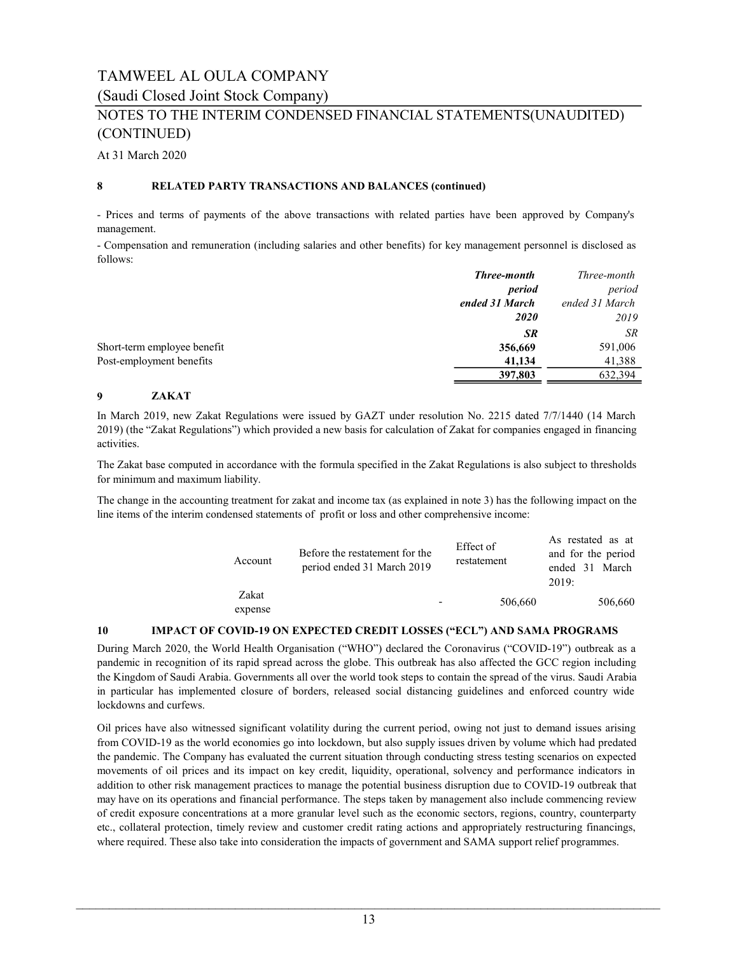(Saudi Closed Joint Stock Company)

### NOTES TO THE INTERIM CONDENSED FINANCIAL STATEMENTS(UNAUDITED) (CONTINUED)

At 31 March 2020

#### 8 RELATED PARTY TRANSACTIONS AND BALANCES (continued)

- Prices and terms of payments of the above transactions with related parties have been approved by Company's management.

- Compensation and remuneration (including salaries and other benefits) for key management personnel is disclosed as follows:

|                             | <b>Three-month</b> | Three-month    |
|-----------------------------|--------------------|----------------|
|                             | period             | period         |
|                             | ended 31 March     | ended 31 March |
|                             | <b>2020</b>        | 2019           |
|                             | <b>SR</b>          | SR             |
| Short-term employee benefit | 356,669            | 591,006        |
| Post-employment benefits    | 41,134             | 41,388         |
|                             | 397,803            | 632.394        |

#### 9 ZAKAT

In March 2019, new Zakat Regulations were issued by GAZT under resolution No. 2215 dated 7/7/1440 (14 March 2019) (the "Zakat Regulations") which provided a new basis for calculation of Zakat for companies engaged in financing activities.

The Zakat base computed in accordance with the formula specified in the Zakat Regulations is also subject to thresholds for minimum and maximum liability.

The change in the accounting treatment for zakat and income tax (as explained in note 3) has the following impact on the line items of the interim condensed statements of profit or loss and other comprehensive income:

| Account          | Before the restatement for the<br>period ended 31 March 2019 | Effect of<br>restatement | As restated as at<br>and for the period<br>ended 31 March<br>2019: |
|------------------|--------------------------------------------------------------|--------------------------|--------------------------------------------------------------------|
| Zakat<br>expense |                                                              | 506,660                  | 506,660                                                            |

#### 10 IMPACT OF COVID-19 ON EXPECTED CREDIT LOSSES ("ECL") AND SAMA PROGRAMS

During March 2020, the World Health Organisation ("WHO") declared the Coronavirus ("COVID-19") outbreak as a pandemic in recognition of its rapid spread across the globe. This outbreak has also affected the GCC region including the Kingdom of Saudi Arabia. Governments all over the world took steps to contain the spread of the virus. Saudi Arabia in particular has implemented closure of borders, released social distancing guidelines and enforced country wide lockdowns and curfews.

Oil prices have also witnessed significant volatility during the current period, owing not just to demand issues arising from COVID-19 as the world economies go into lockdown, but also supply issues driven by volume which had predated the pandemic. The Company has evaluated the current situation through conducting stress testing scenarios on expected movements of oil prices and its impact on key credit, liquidity, operational, solvency and performance indicators in addition to other risk management practices to manage the potential business disruption due to COVID-19 outbreak that may have on its operations and financial performance. The steps taken by management also include commencing review of credit exposure concentrations at a more granular level such as the economic sectors, regions, country, counterparty etc., collateral protection, timely review and customer credit rating actions and appropriately restructuring financings, where required. These also take into consideration the impacts of government and SAMA support relief programmes.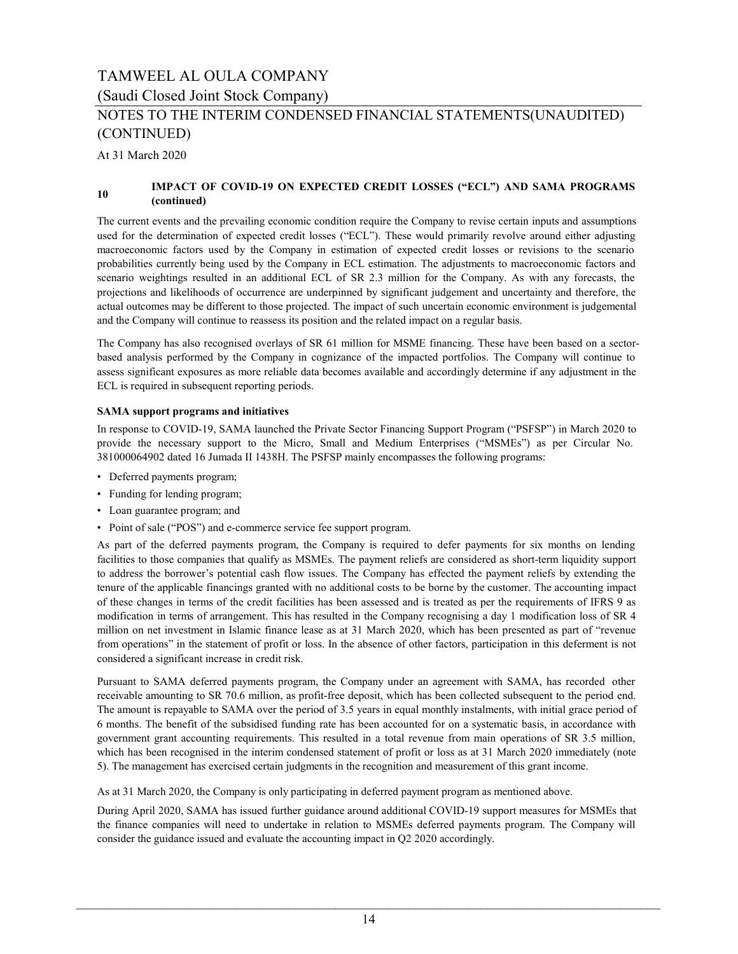(Saudi Closed Joint Stock Company)

### NOTES TO THE INTERIM CONDENSED FINANCIAL STATEMENTS(UNAUDITED) (CONTINUED)

At 31 March 2020

#### 10 IMPACT OF COVID-19 ON EXPECTED CREDIT LOSSES ("ECL") AND SAMA PROGRAMS (continued)

The current events and the prevailing economic condition require the Company to revise certain inputs and assumptions used for the determination of expected credit losses ("ECL"). These would primarily revolve around either adjusting macroeconomic factors used by the Company in estimation of expected credit losses or revisions to the scenario probabilities currently being used by the Company in ECL estimation. The adjustments to macroeconomic factors and scenario weightings resulted in an additional ECL of SR 2.3 million for the Company. As with any forecasts, the projections and likelihoods of occurrence are underpinned by significant judgement and uncertainty and therefore, the actual outcomes may be different to those projected. The impact of such uncertain economic environment is judgemental and the Company will continue to reassess its position and the related impact on a regular basis.

The Company has also recognised overlays of SR 61 million for MSME financing. These have been based on a sectorbased analysis performed by the Company in cognizance of the impacted portfolios. The Company will continue to assess significant exposures as more reliable data becomes available and accordingly determine if any adjustment in the ECL is required in subsequent reporting periods.

#### SAMA support programs and initiatives

In response to COVID-19, SAMA launched the Private Sector Financing Support Program ("PSFSP") in March 2020 to provide the necessary support to the Micro, Small and Medium Enterprises ("MSMEs") as per Circular No. 381000064902 dated 16 Jumada II 1438H. The PSFSP mainly encompasses the following programs:

- Deferred payments program;
- Funding for lending program;
- Loan guarantee program; and
- Point of sale ("POS") and e-commerce service fee support program.

As part of the deferred payments program, the Company is required to defer payments for six months on lending facilities to those companies that qualify as MSMEs. The payment reliefs are considered as short-term liquidity support to address the borrower's potential cash flow issues. The Company has effected the payment reliefs by extending the tenure of the applicable financings granted with no additional costs to be borne by the customer. The accounting impact of these changes in terms of the credit facilities has been assessed and is treated as per the requirements of IFRS 9 as modification in terms of arrangement. This has resulted in the Company recognising a day 1 modification loss of SR 4 million on net investment in Islamic finance lease as at 31 March 2020, which has been presented as part of "revenue from operations" in the statement of profit or loss. In the absence of other factors, participation in this deferment is not considered a significant increase in credit risk.

Pursuant to SAMA deferred payments program, the Company under an agreement with SAMA, has recorded other receivable amounting to SR 70.6 million, as profit-free deposit, which has been collected subsequent to the period end. The amount is repayable to SAMA over the period of 3.5 years in equal monthly instalments, with initial grace period of 6 months. The benefit of the subsidised funding rate has been accounted for on a systematic basis, in accordance with government grant accounting requirements. This resulted in a total revenue from main operations of SR 3.5 million, which has been recognised in the interim condensed statement of profit or loss as at 31 March 2020 immediately (note 5). The management has exercised certain judgments in the recognition and measurement of this grant income.

As at 31 March 2020, the Company is only participating in deferred payment program as mentioned above.

During April 2020, SAMA has issued further guidance around additional COVID-19 support measures for MSMEs that the finance companies will need to undertake in relation to MSMEs deferred payments program. The Company will consider the guidance issued and evaluate the accounting impact in Q2 2020 accordingly.